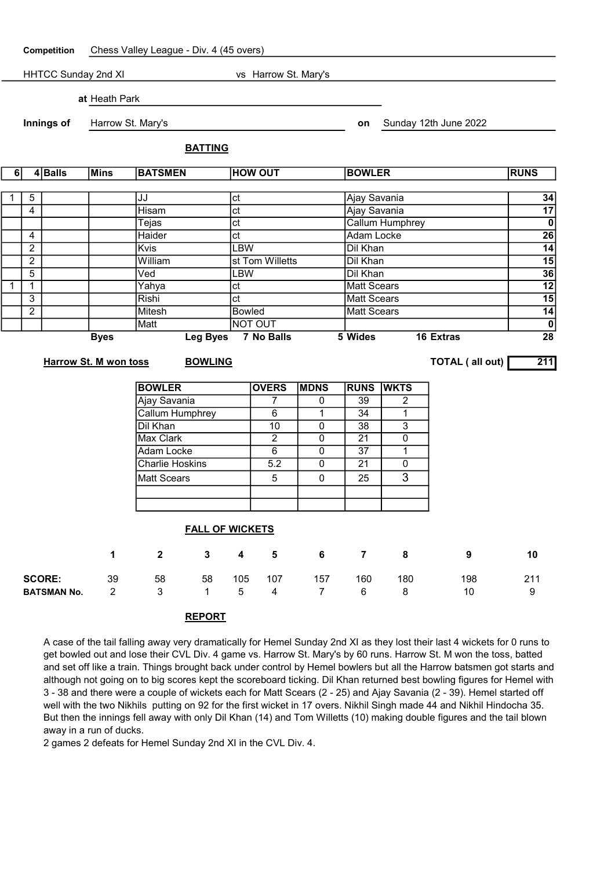Competition Chess Valley League - Div. 4 (45 overs) HHTCC Sunday 2nd XI vs Harrow St. Mary's at Heath Park **Innings of** Harrow St. Mary's **Example 2022 on** Sunday 12th June 2022 BATTING 6 4 Balls Mins BATSMEN HOW OUT BOWLER RUNS 1 5 JJ ct Ajay Savania 34 4 Hisam ct Ajay Savania 17 Tejas ct Callum Humphrey 0 4 Haider ct Adam Locke 26 2 Kvis LBW Dil Khan 14 2 | William st Tom Willetts Dil Khan 15 | 15 5 Ved LBW Dil Khan 36 1 1 Yahya ct Matt Scears 12 3 Rishi ct Matt Scears 15 2 Mitesh Bowled Matt Scears 14 Matt |NOT OUT | **0** Byes Leg Byes 7 No Balls 5 Wides 16 Extras 28 Harrow St. M won toss BOWLING **EXECUTE:** TOTAL (all out) 211

| <b>BOWLER</b>          | <b>OVERS</b> | <b>MDNS</b> | <b>RUNS</b> | <b>WKTS</b> |
|------------------------|--------------|-------------|-------------|-------------|
| Ajay Savania           |              |             | 39          |             |
| Callum Humphrey        | 6            |             | 34          |             |
| Dil Khan               | 10           |             | 38          | 3           |
| <b>Max Clark</b>       | 2            |             | 21          |             |
| Adam Locke             | 6            |             | 37          |             |
| <b>Charlie Hoskins</b> | 5.2          |             | 21          |             |
| <b>Matt Scears</b>     | 5            |             | 25          |             |
|                        |              |             |             |             |
|                        |              |             |             |             |

|                    |             |              | <b>FALL OF WICKETS</b> |                 |     |                |                |     |     |     |
|--------------------|-------------|--------------|------------------------|-----------------|-----|----------------|----------------|-----|-----|-----|
|                    | $\mathbf 1$ | $\mathbf{2}$ | 3                      | $\sim$ 4 $\sim$ | 5   | 6              | $\overline{7}$ | 8   | 9   | 10  |
| <b>SCORE:</b>      | 39          | 58           | 58                     | 105             | 107 | 157            | 160            | 180 | 198 | 211 |
| <b>BATSMAN No.</b> |             | 3            |                        | 5               | 4   | $\overline{7}$ | 6              | 8   | 10  | 9   |

## REPORT

A case of the tail falling away very dramatically for Hemel Sunday 2nd XI as they lost their last 4 wickets for 0 runs to get bowled out and lose their CVL Div. 4 game vs. Harrow St. Mary's by 60 runs. Harrow St. M won the toss, batted and set off like a train. Things brought back under control by Hemel bowlers but all the Harrow batsmen got starts and although not going on to big scores kept the scoreboard ticking. Dil Khan returned best bowling figures for Hemel with 3 - 38 and there were a couple of wickets each for Matt Scears (2 - 25) and Ajay Savania (2 - 39). Hemel started off well with the two Nikhils putting on 92 for the first wicket in 17 overs. Nikhil Singh made 44 and Nikhil Hindocha 35. But then the innings fell away with only Dil Khan (14) and Tom Willetts (10) making double figures and the tail blown away in a run of ducks.

2 games 2 defeats for Hemel Sunday 2nd XI in the CVL Div. 4.